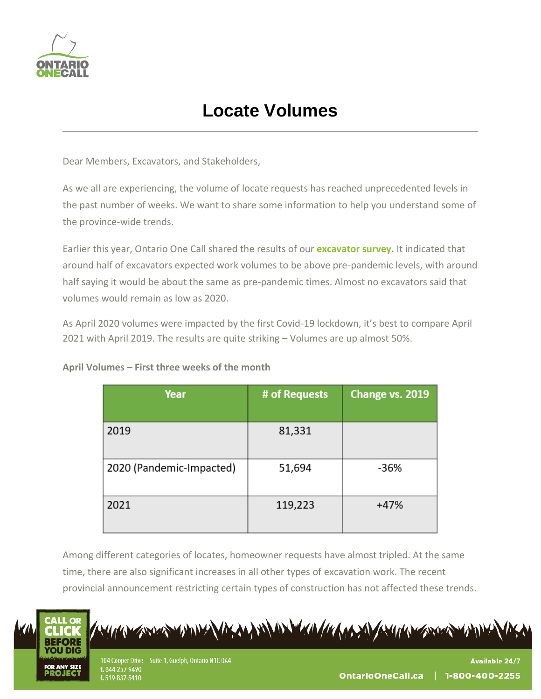

## **Locate Volumes**

Dear Members, Excavators, and Stakeholders,

As we all are experiencing, the volume of locate requests has reached unprecedented levels in the past number of weeks. We want to share some information to help you understand some of the province-wide trends.

Earlier this year, Ontario One Call shared the results of our **[excavator survey.](https://www.ontarioonecall.ca/wp-content/uploads/2020_Excavator_Survey_Results_Dec_2020.pdf)** It indicated that around half of excavators expected work volumes to be above pre-pandemic levels, with around half saying it would be about the same as pre-pandemic times. Almost no excavators said that volumes would remain as low as 2020.

As April 2020 volumes were impacted by the first Covid-19 lockdown, it's best to compare April 2021 with April 2019. The results are quite striking – Volumes are up almost 50%.

| Year                     | # of Requests | Change vs. 2019 |
|--------------------------|---------------|-----------------|
| 2019                     | 81,331        |                 |
| 2020 (Pandemic-Impacted) | 51,694        | $-36%$          |
| 2021                     | 119,223       | $+47%$          |

Among different categories of locates, homeowner requests have almost tripled. At the same time, there are also significant increases in all other types of excavation work. The recent provincial announcement restricting certain types of construction has not affected these trends.



A STORY ANNEL AS MANTEN AND MONTH AND A STRAIGHT STORY ANNE

104 Cooper Drive - Suite 1, Guelph, Ontario N1C 0A4 t. 844-257-9490 f. 519-837-5410

**Available 24/7** 1-800-400-2255 OntarioOneCall.ca